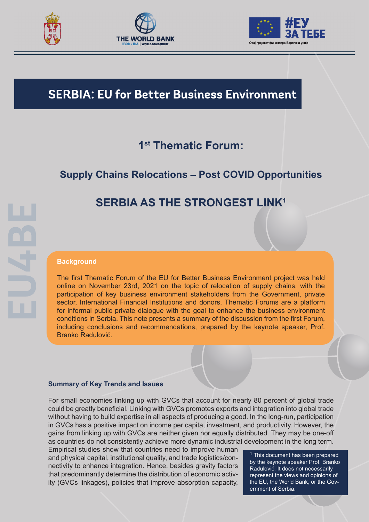





# **SERBIA: EU for Better Business Environment**

## **1st Thematic Forum:**

## **Supply Chains Relocations – Post COVID Opportunities**

# **SERBIA AS THE STRONGEST LINK1**

#### **Background**

The first Thematic Forum of the EU for Better Business Environment project was held online on November 23rd, 2021 on the topic of relocation of supply chains, with the participation of key business environment stakeholders from the Government, private sector, International Financial Institutions and donors. Thematic Forums are a platform for informal public private dialogue with the goal to enhance the business environment conditions in Serbia. This note presents a summary of the discussion from the first Forum, including conclusions and recommendations, prepared by the keynote speaker, Prof. Branko Radulović.

#### **Summary of Key Trends and Issues**

For small economies linking up with GVCs that account for nearly 80 percent of global trade could be greatly beneficial. Linking with GVCs promotes exports and integration into global trade without having to build expertise in all aspects of producing a good. In the long-run, participation in GVCs has a positive impact on income per capita, investment, and productivity. However, the gains from linking up with GVCs are neither given nor equally distributed. They may be one-off as countries do not consistently achieve more dynamic industrial development in the long term.

Empirical studies show that countries need to improve human and physical capital, institutional quality, and trade logistics/connectivity to enhance integration. Hence, besides gravity factors that predominantly determine the distribution of economic activity (GVCs linkages), policies that improve absorption capacity,

 $^1$  This document has been prepared by the keynote speaker Prof. Branko Radulović. It does not necessarily represent the views and opinions of the EU, the World Bank, or the Government of Serbia.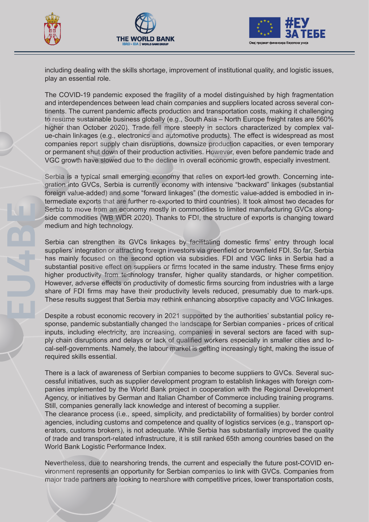





including dealing with the skills shortage, improvement of institutional quality, and logistic issues, play an essential role.

The COVID-19 pandemic exposed the fragility of a model distinguished by high fragmentation and interdependences between lead chain companies and suppliers located across several continents. The current pandemic affects production and transportation costs, making it challenging to resume sustainable business globally (e.g., South Asia – North Europe freight rates are 560% higher than October 2020). Trade fell more steeply in sectors characterized by complex value-chain linkages (e.g., electronics and automotive products). The effect is widespread as most companies report supply chain disruptions, downsize production capacities, or even temporary or permanent shut down of their production activities. However, even before pandemic trade and VGC growth have slowed due to the decline in overall economic growth, especially investment.

Serbia is a typical small emerging economy that relies on export-led growth. Concerning integration into GVCs, Serbia is currently economy with intensive "backward" linkages (substantial foreign value-added) and some "forward linkages" (the domestic value-added is embodied in intermediate exports that are further re-exported to third countries). It took almost two decades for Serbia to move from an economy mostly in commodities to limited manufacturing GVCs alongside commodities (WB WDR 2020). Thanks to FDI, the structure of exports is changing toward medium and high technology.

Serbia can strengthen its GVCs linkages by facilitating domestic firms' entry through local suppliers' integration or attracting foreign investors via greenfield or brownfield FDI. So far, Serbia has mainly focused on the second option via subsidies. FDI and VGC links in Serbia had a substantial positive effect on suppliers or firms located in the same industry. These firms enjoy higher productivity from technology transfer, higher quality standards, or higher competition. However, adverse effects on productivity of domestic firms sourcing from industries with a large share of FDI firms may have their productivity levels reduced, presumably due to mark-ups. These results suggest that Serbia may rethink enhancing absorptive capacity and VGC linkages.

Despite a robust economic recovery in 2021 supported by the authorities' substantial policy response, pandemic substantially changed the landscape for Serbian companies - prices of critical inputs, including electricity, are increasing, companies in several sectors are faced with supply chain disruptions and delays or lack of qualified workers especially in smaller cities and local-self-governments. Namely, the labour market is getting increasingly tight, making the issue of required skills essential.

There is a lack of awareness of Serbian companies to become suppliers to GVCs. Several successful initiatives, such as supplier development program to establish linkages with foreign companies implemented by the World Bank project in cooperation with the Regional Development Agency, or initiatives by German and Italian Chamber of Commerce including training programs. Still, companies generally lack knowledge and interest of becoming a supplier.

The clearance process (i.e., speed, simplicity, and predictability of formalities) by border control agencies, including customs and competence and quality of logistics services (e.g., transport operators, customs brokers), is not adequate. While Serbia has substantially improved the quality of trade and transport-related infrastructure, it is still ranked 65th among countries based on the World Bank Logistic Performance Index.

Nevertheless, due to nearshoring trends, the current and especially the future post-COVID environment represents an opportunity for Serbian companies to link with GVCs. Companies from major trade partners are looking to nearshore with competitive prices, lower transportation costs,